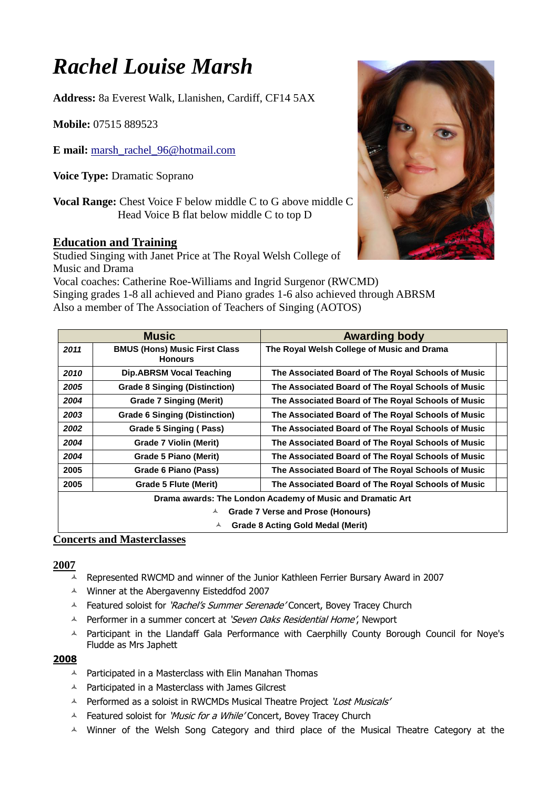# *Rachel Louise Marsh*

**Address:** 8a Everest Walk, Llanishen, Cardiff, CF14 5AX

**Mobile:** 07515 889523

**E mail:** [marsh\\_rachel\\_96@hotmail.com](mailto:marsh_rachel_96@hotmail.com)

**Voice Type:** Dramatic Soprano

**Vocal Range:** Chest Voice F below middle C to G above middle C Head Voice B flat below middle C to top D

## **Education and Training**

Studied Singing with Janet Price at The Royal Welsh College of Music and Drama

Vocal coaches: Catherine Roe-Williams and Ingrid Surgenor (RWCMD) Singing grades 1-8 all achieved and Piano grades 1-6 also achieved through ABRSM Also a member of The Association of Teachers of Singing (AOTOS)

| <b>Music</b>                                               |                                                        | <b>Awarding body</b>                               |  |  |
|------------------------------------------------------------|--------------------------------------------------------|----------------------------------------------------|--|--|
| 2011                                                       | <b>BMUS (Hons) Music First Class</b><br><b>Honours</b> | The Royal Welsh College of Music and Drama         |  |  |
| 2010                                                       | Dip.ABRSM Vocal Teaching                               | The Associated Board of The Royal Schools of Music |  |  |
| 2005                                                       | <b>Grade 8 Singing (Distinction)</b>                   | The Associated Board of The Royal Schools of Music |  |  |
| 2004                                                       | <b>Grade 7 Singing (Merit)</b>                         | The Associated Board of The Royal Schools of Music |  |  |
| 2003                                                       | <b>Grade 6 Singing (Distinction)</b>                   | The Associated Board of The Royal Schools of Music |  |  |
| 2002                                                       | Grade 5 Singing (Pass)                                 | The Associated Board of The Royal Schools of Music |  |  |
| 2004                                                       | Grade 7 Violin (Merit)                                 | The Associated Board of The Royal Schools of Music |  |  |
| 2004                                                       | Grade 5 Piano (Merit)                                  | The Associated Board of The Royal Schools of Music |  |  |
| 2005                                                       | Grade 6 Piano (Pass)                                   | The Associated Board of The Royal Schools of Music |  |  |
| 2005                                                       | <b>Grade 5 Flute (Merit)</b>                           | The Associated Board of The Royal Schools of Music |  |  |
| Drama awards: The London Academy of Music and Dramatic Art |                                                        |                                                    |  |  |
| Grade 7 Verse and Prose (Honours)<br>▲                     |                                                        |                                                    |  |  |
| <b>Grade 8 Acting Gold Medal (Merit)</b><br>A              |                                                        |                                                    |  |  |

**Concerts and Masterclasses**

### **2007**

- $\text{A}$  Represented RWCMD and winner of the Junior Kathleen Ferrier Bursary Award in 2007
- A Winner at the Abergavenny Eisteddfod 2007
- A Featured soloist for 'Rachel's Summer Serenade' Concert, Bovey Tracey Church
- A Performer in a summer concert at 'Seven Oaks Residential Home', Newport
- A Participant in the Llandaff Gala Performance with Caerphilly County Borough Council for Noye's Fludde as Mrs Japhett

#### **2008**

- $\triangle$  Participated in a Masterclass with Elin Manahan Thomas
- Participated in a Masterclass with James Gilcrest
- A Performed as a soloist in RWCMDs Musical Theatre Project 'Lost Musicals'
- A Featured soloist for 'Music for a While' Concert, Bovey Tracey Church
- A Winner of the Welsh Song Category and third place of the Musical Theatre Category at the

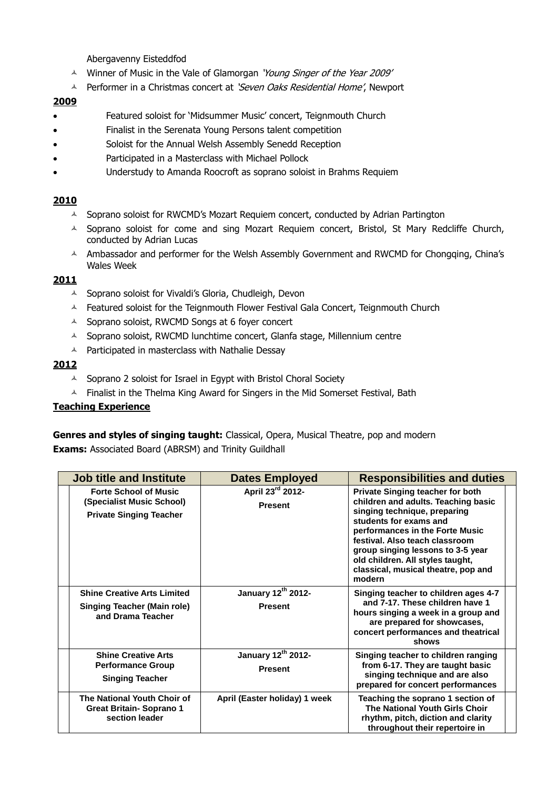Abergavenny Eisteddfod

- A Winner of Music in the Vale of Glamorgan 'Young Singer of the Year 2009'
- A Performer in a Christmas concert at 'Seven Oaks Residential Home', Newport

#### **2009**

- Featured soloist for 'Midsummer Music' concert, Teignmouth Church
- Finalist in the Serenata Young Persons talent competition
- Soloist for the Annual Welsh Assembly Senedd Reception
- Participated in a Masterclass with Michael Pollock
- Understudy to Amanda Roocroft as soprano soloist in Brahms Requiem

#### **2010**

- <sup>A</sup> Soprano soloist for RWCMD's Mozart Requiem concert, conducted by Adrian Partington
- $\triangle$  Soprano soloist for come and sing Mozart Requiem concert, Bristol, St Mary Redcliffe Church, conducted by Adrian Lucas
- $\blacktriangle$  Ambassador and performer for the Welsh Assembly Government and RWCMD for Chongging, China's Wales Week

#### **2011**

- A Soprano soloist for Vivaldi's Gloria, Chudleigh, Devon
- $\triangle$  Featured soloist for the Teignmouth Flower Festival Gala Concert, Teignmouth Church
- A Soprano soloist, RWCMD Songs at 6 foyer concert
- A Soprano soloist, RWCMD lunchtime concert, Glanfa stage, Millennium centre
- $\triangle$  Participated in masterclass with Nathalie Dessay

#### **2012**

- $\triangle$  Soprano 2 soloist for Israel in Egypt with Bristol Choral Society
- $\triangle$  Finalist in the Thelma King Award for Singers in the Mid Somerset Festival, Bath

#### **Teaching Experience**

**Genres and styles of singing taught:** Classical, Opera, Musical Theatre, pop and modern **Exams:** Associated Board (ABRSM) and Trinity Guildhall

| <b>Job title and Institute</b>                                                                | <b>Dates Employed</b>                | <b>Responsibilities and duties</b>                                                                                                                                                                                                                                                                                                      |
|-----------------------------------------------------------------------------------------------|--------------------------------------|-----------------------------------------------------------------------------------------------------------------------------------------------------------------------------------------------------------------------------------------------------------------------------------------------------------------------------------------|
| <b>Forte School of Music</b><br>(Specialist Music School)<br><b>Private Singing Teacher</b>   | April 23rd 2012-<br><b>Present</b>   | <b>Private Singing teacher for both</b><br>children and adults. Teaching basic<br>singing technique, preparing<br>students for exams and<br>performances in the Forte Music<br>festival. Also teach classroom<br>group singing lessons to 3-5 year<br>old children. All styles taught,<br>classical, musical theatre, pop and<br>modern |
| <b>Shine Creative Arts Limited</b><br><b>Singing Teacher (Main role)</b><br>and Drama Teacher | January 12th 2012-<br><b>Present</b> | Singing teacher to children ages 4-7<br>and 7-17. These children have 1<br>hours singing a week in a group and<br>are prepared for showcases,<br>concert performances and theatrical<br>shows                                                                                                                                           |
| <b>Shine Creative Arts</b><br><b>Performance Group</b><br><b>Singing Teacher</b>              | January 12th 2012-<br><b>Present</b> | Singing teacher to children ranging<br>from 6-17. They are taught basic<br>singing technique and are also<br>prepared for concert performances                                                                                                                                                                                          |
| The National Youth Choir of<br><b>Great Britain-Soprano 1</b><br>section leader               | April (Easter holiday) 1 week        | Teaching the soprano 1 section of<br>The National Youth Girls Choir<br>rhythm, pitch, diction and clarity<br>throughout their repertoire in                                                                                                                                                                                             |